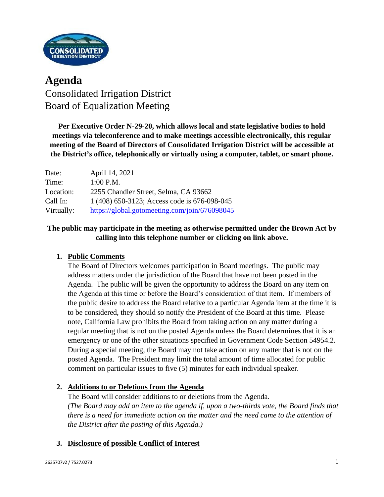

# **Agenda** Consolidated Irrigation District Board of Equalization Meeting

**Per Executive Order N-29-20, which allows local and state legislative bodies to hold meetings via teleconference and to make meetings accessible electronically, this regular meeting of the Board of Directors of Consolidated Irrigation District will be accessible at the District's office, telephonically or virtually using a computer, tablet, or smart phone.**

| Date:      | April 14, 2021                                |
|------------|-----------------------------------------------|
| Time:      | $1:00$ P.M.                                   |
| Location:  | 2255 Chandler Street, Selma, CA 93662         |
| Call In:   | 1 (408) 650-3123; Access code is 676-098-045  |
| Virtually: | https://global.gotomeeting.com/join/676098045 |

## **The public may participate in the meeting as otherwise permitted under the Brown Act by calling into this telephone number or clicking on link above.**

## **1. Public Comments**

The Board of Directors welcomes participation in Board meetings. The public may address matters under the jurisdiction of the Board that have not been posted in the Agenda. The public will be given the opportunity to address the Board on any item on the Agenda at this time or before the Board's consideration of that item. If members of the public desire to address the Board relative to a particular Agenda item at the time it is to be considered, they should so notify the President of the Board at this time. Please note, California Law prohibits the Board from taking action on any matter during a regular meeting that is not on the posted Agenda unless the Board determines that it is an emergency or one of the other situations specified in Government Code Section 54954.2. During a special meeting, the Board may not take action on any matter that is not on the posted Agenda. The President may limit the total amount of time allocated for public comment on particular issues to five (5) minutes for each individual speaker.

### **2. Additions to or Deletions from the Agenda**

The Board will consider additions to or deletions from the Agenda. *(The Board may add an item to the agenda if, upon a two-thirds vote, the Board finds that there is a need for immediate action on the matter and the need came to the attention of the District after the posting of this Agenda.)*

## **3. Disclosure of possible Conflict of Interest**